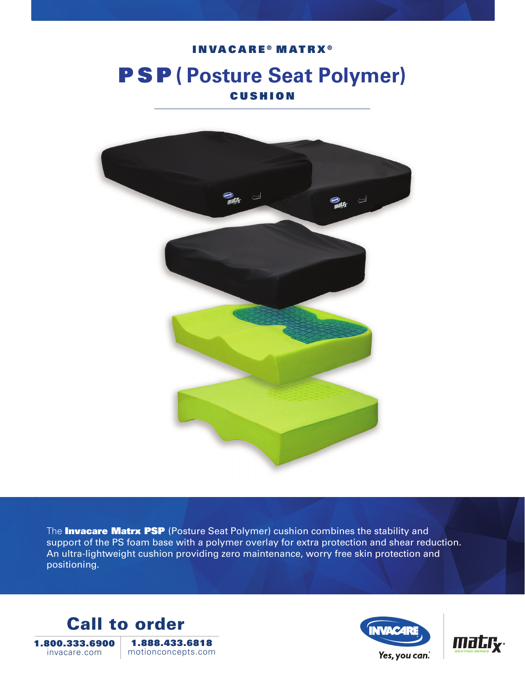# INVACARE<sup>®</sup> MATRX<sup>®</sup> PSP **( Posture Seat Polymer)** CUSHION



The **Invacare Matrx PSP** (Posture Seat Polymer) cushion combines the stability and support of the PS foam base with a polymer overlay for extra protection and shear reduction. An ultra-lightweight cushion providing zero maintenance, worry free skin protection and positioning.